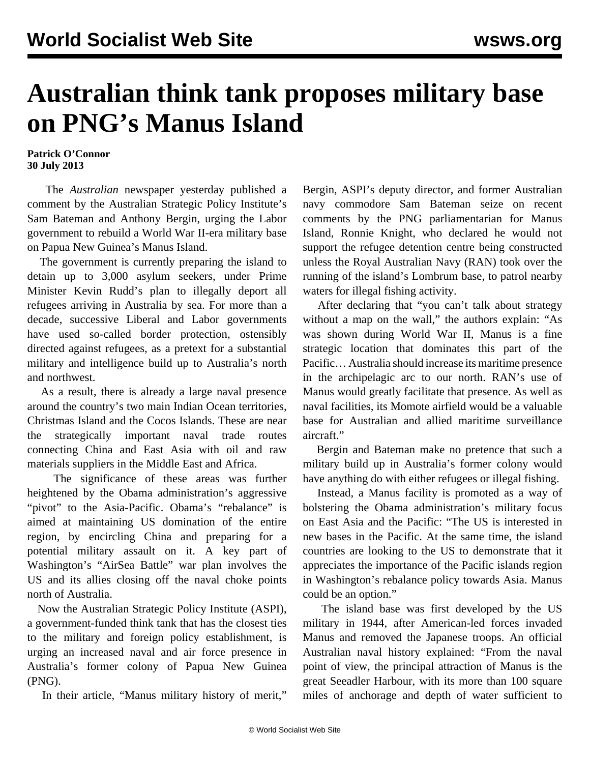## **Australian think tank proposes military base on PNG's Manus Island**

**Patrick O'Connor 30 July 2013**

 The *Australian* newspaper yesterday published a comment by the Australian Strategic Policy Institute's Sam Bateman and Anthony Bergin, urging the Labor government to rebuild a World War II-era military base on Papua New Guinea's Manus Island.

 The government is currently preparing the island to detain up to 3,000 asylum seekers, under Prime Minister Kevin Rudd's plan to illegally deport all refugees arriving in Australia by sea. For more than a decade, successive Liberal and Labor governments have used so-called border protection, ostensibly directed against refugees, as a pretext for a substantial military and intelligence build up to Australia's north and northwest.

 As a result, there is already a large naval presence around the country's two main Indian Ocean territories, Christmas Island and the Cocos Islands. These are near the strategically important naval trade routes connecting China and East Asia with oil and raw materials suppliers in the Middle East and Africa.

 The significance of these areas was further heightened by the Obama administration's aggressive "pivot" to the Asia-Pacific. Obama's "rebalance" is aimed at maintaining US domination of the entire region, by encircling China and preparing for a potential military assault on it. A key part of Washington's "AirSea Battle" war plan involves the US and its allies closing off the naval choke points north of Australia.

 Now the Australian Strategic Policy Institute (ASPI), a government-funded think tank that has the closest ties to the military and foreign policy establishment, is urging an increased naval and air force presence in Australia's former colony of Papua New Guinea (PNG).

In their article, "Manus military history of merit,"

Bergin, ASPI's deputy director, and former Australian navy commodore Sam Bateman seize on recent comments by the PNG parliamentarian for Manus Island, Ronnie Knight, who declared he would not support the refugee detention centre being constructed unless the Royal Australian Navy (RAN) took over the running of the island's Lombrum base, to patrol nearby waters for illegal fishing activity.

 After declaring that "you can't talk about strategy without a map on the wall," the authors explain: "As was shown during World War II, Manus is a fine strategic location that dominates this part of the Pacific… Australia should increase its maritime presence in the archipelagic arc to our north. RAN's use of Manus would greatly facilitate that presence. As well as naval facilities, its Momote airfield would be a valuable base for Australian and allied maritime surveillance aircraft."

 Bergin and Bateman make no pretence that such a military build up in Australia's former colony would have anything do with either refugees or illegal fishing.

 Instead, a Manus facility is promoted as a way of bolstering the Obama administration's military focus on East Asia and the Pacific: "The US is interested in new bases in the Pacific. At the same time, the island countries are looking to the US to demonstrate that it appreciates the importance of the Pacific islands region in Washington's rebalance policy towards Asia. Manus could be an option."

 The island base was first developed by the US military in 1944, after American-led forces invaded Manus and removed the Japanese troops. An official Australian naval history explained: "From the naval point of view, the principal attraction of Manus is the great Seeadler Harbour, with its more than 100 square miles of anchorage and depth of water sufficient to